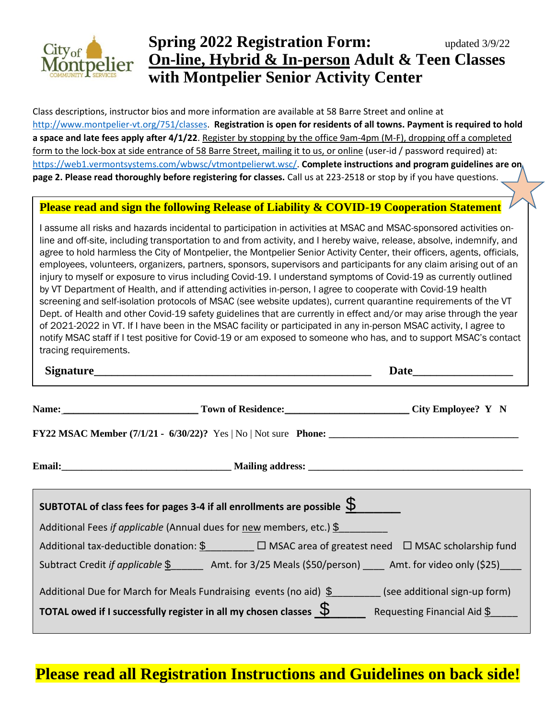

# **Spring 2022 Registration Form:** updated 3/9/22 **On-line, Hybrid & In-person Adult & Teen Classes with Montpelier Senior Activity Center**

Class descriptions, instructor bios and more information are available at 58 Barre Street and online at [http://www.montpelier-vt.org/751/classes.](http://www.montpelier-vt.org/751/classes) **Registration is open for residents of all towns. Payment is required to hold a space and late fees apply after 4/1/22**. Register by stopping by the office 9am-4pm (M-F), dropping off a completed form to the lock-box at side entrance of 58 Barre Street, mailing it to us, or online (user-id / password required) at: [https://web1.vermontsystems.com/wbwsc/vtmontpelierwt.wsc/.](https://web1.vermontsystems.com/wbwsc/vtmontpelierwt.wsc/) **Complete instructions and program guidelines are on page 2. Please read thoroughly before registering for classes.** Call us at 223-2518 or stop by if you have questions.

#### **Please read and sign the following Release of Liability & COVID-19 Cooperation Statement**

I assume all risks and hazards incidental to participation in activities at MSAC and MSAC-sponsored activities online and off-site, including transportation to and from activity, and I hereby waive, release, absolve, indemnify, and agree to hold harmless the City of Montpelier, the Montpelier Senior Activity Center, their officers, agents, officials, employees, volunteers, organizers, partners, sponsors, supervisors and participants for any claim arising out of an injury to myself or exposure to virus including Covid-19. I understand symptoms of Covid-19 as currently outlined by VT Department of Health, and if attending activities in-person, I agree to cooperate with Covid-19 health screening and self-isolation protocols of MSAC (see website updates), current quarantine requirements of the VT Dept. of Health and other Covid-19 safety guidelines that are currently in effect and/or may arise through the year of 2021-2022 in VT. If I have been in the MSAC facility or participated in any in-person MSAC activity, I agree to notify MSAC staff if I test positive for Covid-19 or am exposed to someone who has, and to support MSAC's contact tracing requirements.

| Signature Signature and the set of the set of the set of the set of the set of the set of the set of the set of the set of the set of the set of the set of the set of the set of the set of the set of the set of the set of | Date<br><u> 1980 - Jan James James Barnett, president eta inglesia (h. 1918).</u> |
|-------------------------------------------------------------------------------------------------------------------------------------------------------------------------------------------------------------------------------|-----------------------------------------------------------------------------------|
| Name: City Employee? Y N                                                                                                                                                                                                      |                                                                                   |
|                                                                                                                                                                                                                               |                                                                                   |
|                                                                                                                                                                                                                               |                                                                                   |
| SUBTOTAL of class fees for pages 3-4 if all enrollments are possible $\mathcal S$                                                                                                                                             |                                                                                   |
| Additional Fees if applicable (Annual dues for new members, etc.) $\S$                                                                                                                                                        |                                                                                   |
| Additional tax-deductible donation: $\frac{6}{2}$ $\Box$ MSAC area of greatest need $\Box$ MSAC scholarship fund                                                                                                              |                                                                                   |
| Subtract Credit <i>if applicable</i> \$ _______ Amt. for 3/25 Meals (\$50/person) _____ Amt. for video only (\$25) ____                                                                                                       |                                                                                   |
| Additional Due for March for Meals Fundraising events (no aid) $\frac{1}{2}$ (see additional sign-up form)                                                                                                                    |                                                                                   |
| <b>TOTAL owed if I successfully register in all my chosen classes</b> $\overline{\varphi}$ Requesting Financial Aid $\underline{\hat{\varphi}}$                                                                               |                                                                                   |

# **Please read all Registration Instructions and Guidelines on back side!**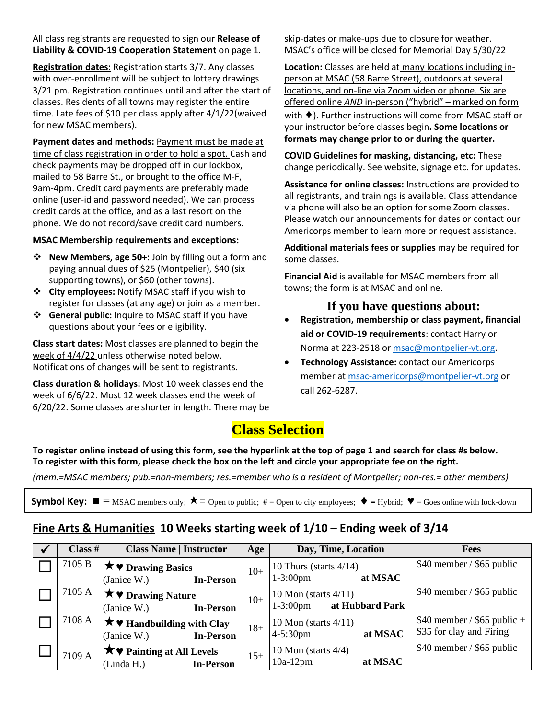All class registrants are requested to sign our **Release of Liability & COVID-19 Cooperation Statement** on page 1.

**Registration dates:** Registration starts 3/7. Any classes with over-enrollment will be subject to lottery drawings 3/21 pm. Registration continues until and after the start of classes. Residents of all towns may register the entire time. Late fees of \$10 per class apply after 4/1/22(waived for new MSAC members).

**Payment dates and methods:** Payment must be made at time of class registration in order to hold a spot. Cash and check payments may be dropped off in our lockbox, mailed to 58 Barre St., or brought to the office M-F, 9am-4pm. Credit card payments are preferably made online (user-id and password needed). We can process credit cards at the office, and as a last resort on the phone. We do not record/save credit card numbers.

#### **MSAC Membership requirements and exceptions:**

- ❖ **New Members, age 50+:** Join by filling out a form and paying annual dues of \$25 (Montpelier), \$40 (six supporting towns), or \$60 (other towns).
- ❖ **City employees:** Notify MSAC staff if you wish to register for classes (at any age) or join as a member.
- ❖ **General public:** Inquire to MSAC staff if you have questions about your fees or eligibility.

**Class start dates:** Most classes are planned to begin the week of 4/4/22 unless otherwise noted below. Notifications of changes will be sent to registrants.

**Class duration & holidays:** Most 10 week classes end the week of 6/6/22. Most 12 week classes end the week of 6/20/22. Some classes are shorter in length. There may be skip-dates or make-ups due to closure for weather. MSAC's office will be closed for Memorial Day 5/30/22

**Location:** Classes are held at many locations including inperson at MSAC (58 Barre Street), outdoors at several locations, and on-line via Zoom video or phone. Six are offered online *AND* in-person ("hybrid" – marked on form with ♦). Further instructions will come from MSAC staff or your instructor before classes begin**. Some locations or formats may change prior to or during the quarter.** 

**COVID Guidelines for masking, distancing, etc:** These change periodically. See website, signage etc. for updates.

**Assistance for online classes:** Instructions are provided to all registrants, and trainings is available. Class attendance via phone will also be an option for some Zoom classes. Please watch our announcements for dates or contact our Americorps member to learn more or request assistance.

**Additional materials fees or supplies** may be required for some classes.

**Financial Aid** is available for MSAC members from all towns; the form is at MSAC and online.

#### **If you have questions about:**

- **Registration, membership or class payment, financial aid or COVID-19 requirements**: contact Harry or Norma at 223-2518 or [msac@montpelier-vt.org.](mailto:msac@montpelier-vt.org)
- **Technology Assistance:** contact our Americorps member at [msac-americorps@montpelier-vt.org](mailto:msac-americorps@montpelier-vt.org) or call 262-6287.

### **Class Selection**

**To register online instead of using this form, see the hyperlink at the top of page 1 and search for class #s below. To register with this form, please check the box on the left and circle your appropriate fee on the right.**

*(mem.=MSAC members; pub.=non-members; res.=member who is a resident of Montpelier; non-res.= other members)*

| <b>Symbol Key:</b> $\blacksquare$ = MSAC members only; $\bigstar$ = Open to public; # = Open to city employees; $\blacklozenge$ = Hybrid; $\blacktriangledown$ = Goes online with lock-down |  |
|---------------------------------------------------------------------------------------------------------------------------------------------------------------------------------------------|--|
|---------------------------------------------------------------------------------------------------------------------------------------------------------------------------------------------|--|

#### **Fine Arts & Humanities 10 Weeks starting week of 1/10 – Ending week of 3/14**

| Class #                                                      | <b>Class Name   Instructor</b> |                                        | Age                    | Day, Time, Location        | <b>Fees</b>                      |                              |
|--------------------------------------------------------------|--------------------------------|----------------------------------------|------------------------|----------------------------|----------------------------------|------------------------------|
| 7105 B                                                       |                                | $\star \bullet$ Drawing Basics         |                        | $10+$                      | 10 Thurs (starts $4/14$ )        | $$40$ member / \$65 public   |
|                                                              |                                | (Janice W.)                            | <b>In-Person</b>       |                            | at MSAC<br>$1 - 3:00$ pm         |                              |
| 7105 A                                                       |                                | <b>★ ♥ Drawing Nature</b>              |                        | $10+$                      | 10 Mon (starts $4/11$ )          | $$40$ member / \$65 public   |
|                                                              |                                | (Janice W.)                            | <b>In-Person</b>       |                            | at Hubbard Park<br>$1 - 3:00$ pm |                              |
| 7108 A                                                       |                                | $\star \bullet$ Handbuilding with Clay |                        | $18+$                      | 10 Mon (starts $4/11$ )          | $$40$ member / \$65 public + |
|                                                              |                                | (Janice W.)                            | <b>In-Person</b>       |                            | $4 - 5:30$ pm<br>at MSAC         | \$35 for clay and Firing     |
| $\bigstar \bigtriangledown$ Painting at All Levels<br>7109 A |                                |                                        | 10 Mon (starts $4/4$ ) | $$40$ member / \$65 public |                                  |                              |
|                                                              |                                | (Linda H.)                             | <b>In-Person</b>       | $15+$                      | at MSAC<br>$10a-12pm$            |                              |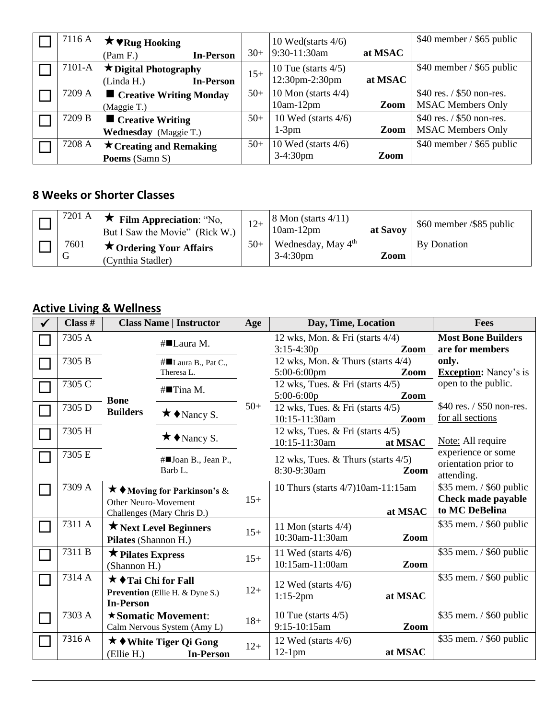| 7116 A | $\star$ $\mathbf{v}_{\text{Rug} H}$    | $30+$ | 10 Wed(starts $4/6$ )<br>9:30-11:30am | at MSAC | $$40$ member / \$65 public |
|--------|----------------------------------------|-------|---------------------------------------|---------|----------------------------|
|        | <b>In-Person</b><br>(Pam F.)           |       |                                       |         |                            |
| 7101-A | $\star$ Digital Photography            | $15+$ | 10 Tue (starts $4/5$ )                |         | $$40$ member / \$65 public |
|        | (Linda H.)<br><b>In-Person</b>         |       | 12:30pm-2:30pm                        | at MSAC |                            |
| 7209 A | $\blacksquare$ Creative Writing Monday | $50+$ | 10 Mon (starts $4/4$ )                |         | \$40 res. / \$50 non-res.  |
|        | (Maggie T.)                            |       | $10am-12pm$                           | Zoom    | <b>MSAC Members Only</b>   |
| 7209 B | $\blacksquare$ Creative Writing        | $50+$ | 10 Wed (starts $4/6$ )                |         | \$40 res. / \$50 non-res.  |
|        | <b>Wednesday</b> (Maggie T.)           |       | $1-3$ pm                              | Zoom    | <b>MSAC Members Only</b>   |
| 7208 A | $\star$ Creating and Remaking          | $50+$ | 10 Wed (starts $4/6$ )                |         | \$40 member / \$65 public  |
|        | Poems (Samn S)                         |       | 3-4:30pm                              | Zoom    |                            |

#### **8 Weeks or Shorter Classes**

| 7201 A    | Film Appreciation: "No,<br>But I Saw the Movie" (Rick W.) | $12+$ | $\vert$ 8 Mon (starts 4/11)<br>$10am-12pm$    | at Savoy | \$60 member / \$85 public |
|-----------|-----------------------------------------------------------|-------|-----------------------------------------------|----------|---------------------------|
| 7601<br>G | $\star$ Ordering Your Affairs<br>(Cynthia Stadler)        | $50+$ | Wednesday, May 4 <sup>th</sup><br>$3-4:30$ pm | Zoom     | By Donation               |

## **Active Living & Wellness**

| Class # | <b>Class Name   Instructor</b>                                                                 |                                   | Age   | Day, Time, Location                                            | Fees                                                            |
|---------|------------------------------------------------------------------------------------------------|-----------------------------------|-------|----------------------------------------------------------------|-----------------------------------------------------------------|
| 7305 A  |                                                                                                | #■Laura M.                        |       | 12 wks, Mon. & Fri (starts $4/4$ )<br>$3:15-4:30p$<br>Zoom     | <b>Most Bone Builders</b><br>are for members                    |
| 7305 B  |                                                                                                | #■Laura B., Pat C.,<br>Theresa L. |       | 12 wks, Mon. & Thurs (starts $4/4$ )<br>5:00-6:00pm<br>Zoom    | only.<br><b>Exception:</b> Nancy's is                           |
| 7305 C  | <b>Bone</b>                                                                                    | #■Tina M.                         |       | 12 wks, Tues. $&$ Fri (starts $4/5$ )<br>$5:00-6:00p$<br>Zoom  | open to the public.                                             |
| 7305 D  | <b>Builders</b>                                                                                | $\star \bullet$ Nancy S.          | $50+$ | 12 wks, Tues. & Fri (starts $4/5$ )<br>10:15-11:30am<br>Zoom   | \$40 res. / \$50 non-res.<br>for all sections                   |
| 7305 H  |                                                                                                | $\star \bullet$ Nancy S.          |       | 12 wks, Tues. & Fri (starts 4/5)<br>10:15-11:30am<br>at MSAC   | Note: All require                                               |
| 7305 E  |                                                                                                | #■Joan B., Jean P.,<br>Barb L.    |       | 12 wks, Tues. $&$ Thurs (starts $4/5$ )<br>8:30-9:30am<br>Zoom | experience or some<br>orientation prior to<br>attending.        |
| 7309 A  | <b>★ ◆</b> Moving for Parkinson's &<br>Other Neuro-Movement<br>Challenges (Mary Chris D.)      |                                   | $15+$ | 10 Thurs (starts 4/7)10am-11:15am<br>at MSAC                   | \$35 mem. / \$60 public<br>Check made payable<br>to MC DeBelina |
| 7311 A  | ★ Next Level Beginners<br>Pilates (Shannon H.)                                                 |                                   | $15+$ | 11 Mon (starts $4/4$ )<br>10:30am-11:30am<br>Zoom              | \$35 mem. / \$60 public                                         |
| 7311 B  | $\star$ Pilates Express<br>(Shannon H.)                                                        |                                   | $15+$ | 11 Wed (starts $4/6$ )<br>10:15am-11:00am<br>Zoom              | \$35 mem. / \$60 public                                         |
| 7314 A  | $\star \bullet$ Tai Chi for Fall<br><b>Prevention</b> (Ellie H. & Dyne S.)<br><b>In-Person</b> |                                   | $12+$ | $12$ Wed (starts $4/6$ )<br>$1:15-2pm$<br>at MSAC              | \$35 mem. / \$60 public                                         |
| 7303 A  | $\star$ Somatic Movement:<br>Calm Nervous System (Amy L)                                       |                                   | $18+$ | 10 Tue (starts $4/5$ )<br>9:15-10:15am<br>Zoom                 | \$35 mem. / \$60 public                                         |
| 7316 A  | <b>★◆White Tiger Qi Gong</b><br><b>In-Person</b><br>(Ellie H.)                                 |                                   | $12+$ | 12 Wed (starts $4/6$ )<br>$12-1$ pm<br>at MSAC                 | \$35 mem. / \$60 public                                         |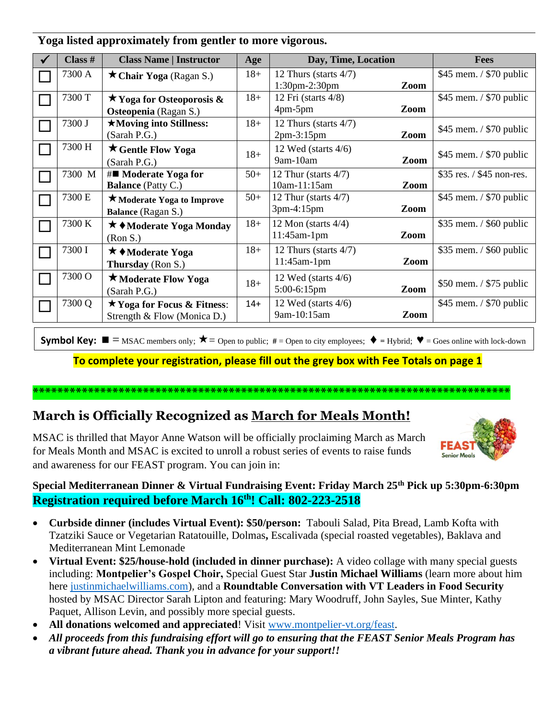| Class # | <b>Class Name   Instructor</b>     | Age   | Day, Time, Location      |      | <b>Fees</b>                |
|---------|------------------------------------|-------|--------------------------|------|----------------------------|
| 7300 A  | $\star$ Chair Yoga (Ragan S.)      | $18+$ | 12 Thurs (starts $4/7$ ) |      | $$45$ mem. / \$70 public   |
|         |                                    |       | $1:30$ pm $-2:30$ pm     | Zoom |                            |
| 7300 T  | $\star$ Yoga for Osteoporosis &    | $18+$ | 12 Fri (starts $4/8$ )   |      | \$45 mem. / \$70 public    |
|         | Osteopenia (Ragan S.)              |       | $4pm-5pm$                | Zoom |                            |
| 7300 J  | ★Moving into Stillness:            | $18+$ | 12 Thurs (starts $4/7$ ) |      | $$45$ mem. $/$ \$70 public |
|         | (Sarah P.G.)                       |       | $2pm-3:15pm$             | Zoom |                            |
| 7300 H  | <b>★ Gentle Flow Yoga</b>          | $18+$ | 12 Wed (starts $4/6$ )   |      |                            |
|         | (Sarah P.G.)                       |       | 9am-10am                 | Zoom | \$45 mem. / \$70 public    |
| 7300 M  | $\#\blacksquare$ Moderate Yoga for | $50+$ | 12 Thur (starts $4/7$ )  |      | \$35 res. / \$45 non-res.  |
|         | <b>Balance</b> (Patty C.)          |       | 10am-11:15am             | Zoom |                            |
| 7300 E  | ★ Moderate Yoga to Improve         | $50+$ | 12 Thur (starts $4/7$ )  |      | \$45 mem. / \$70 public    |
|         | Balance (Ragan S.)                 |       | $3pm-4:15pm$             | Zoom |                            |
| 7300 K  | ★ ◆ Moderate Yoga Monday           | $18+$ | 12 Mon (starts $4/4$ )   |      | \$35 mem. / \$60 public    |
|         | (Ron S.)                           |       | $11:45$ am-1pm           | Zoom |                            |
| 7300 I  | <b>★ ◆Moderate Yoga</b>            | $18+$ | 12 Thurs (starts $4/7$ ) |      | $$35$ mem. $/$ \$60 public |
|         | Thursday (Ron S.)                  |       | $11:45$ am-1pm           | Zoom |                            |
| 7300 O  | ★ Moderate Flow Yoga               |       | 12 Wed (starts $4/6$ )   |      |                            |
|         | (Sarah P.G.)                       | $18+$ | 5:00-6:15pm              | Zoom | $$50$ mem. / $$75$ public  |
| 7300 Q  | $\star$ Yoga for Focus & Fitness:  | $14+$ | 12 Wed (starts $4/6$ )   |      | $$45$ mem. / \$70 public   |
|         | Strength & Flow (Monica D.)        |       | 9am-10:15am              | Zoom |                            |
|         |                                    |       |                          |      |                            |

#### **Yoga listed approximately from gentler to more vigorous.**

**Symbol Key:**  $\blacksquare$  = MSAC members only;  $\bigstar$  = Open to public;  $\#$  = Open to city employees;  $\blacklozenge$  = Hybrid;  $\blacktriangledown$  = Goes online with lock-down

**To complete your registration, please fill out the grey box with Fee Totals on page 1**

#### **\*\*\*\*\*\*\*\*\*\*\*\*\*\*\*\*\*\*\*\*\*\*\*\*\*\*\*\*\*\*\*\*\*\*\*\*\*\*\*\*\*\*\*\*\*\*\*\*\*\*\*\*\*\*\*\*\*\*\*\*\*\*\*\*\*\*\*\*\*\*\*\*\*\*\*\*\*\***

#### **March is Officially Recognized as March for Meals Month!**

MSAC is thrilled that Mayor Anne Watson will be officially proclaiming March as March for Meals Month and MSAC is excited to unroll a robust series of events to raise funds and awareness for our FEAST program. You can join in:

#### **Special Mediterranean Dinner & Virtual Fundraising Event: Friday March 25th Pick up 5:30pm-6:30pm Registration required before March 16th! Call: 802-223-2518**

- **Curbside dinner (includes Virtual Event): \$50/person:** Tabouli Salad, Pita Bread, Lamb Kofta with Tzatziki Sauce or Vegetarian Ratatouille, Dolmas**,** Escalivada (special roasted vegetables), Baklava and Mediterranean Mint Lemonade
- **Virtual Event: \$25/house-hold (included in dinner purchase):** A video collage with many special guests including: **Montpelier's Gospel Choir,** Special Guest Star **Justin Michael Williams** (learn more about him here [justinmichaelwilliams.com\)](https://www.justinmichaelwilliams.com/), and a **Roundtable Conversation with VT Leaders in Food Security** hosted by MSAC Director Sarah Lipton and featuring: Mary Woodruff, John Sayles, Sue Minter, Kathy Paquet, Allison Levin, and possibly more special guests.
- All donations welcomed and appreciated! Visit [www.montpelier-vt.org/feast.](http://www.montpelier-vt.org/feast)
- *All proceeds from this fundraising effort will go to ensuring that the FEAST Senior Meals Program has a vibrant future ahead. Thank you in advance for your support!!*

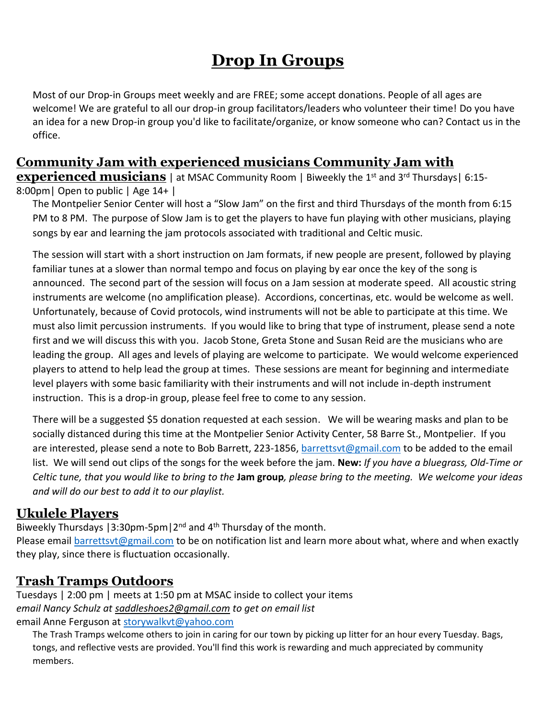# **Drop In Groups**

Most of our Drop-in Groups meet weekly and are FREE; some accept donations. People of all ages are welcome! We are grateful to all our drop-in group facilitators/leaders who volunteer their time! Do you have an idea for a new Drop-in group you'd like to facilitate/organize, or know someone who can? Contact us in the office.

# **Community Jam with experienced musicians Community Jam with**

**experienced musicians** | at MSAC Community Room | Biweekly the 1<sup>st</sup> and 3<sup>rd</sup> Thursdays | 6:15-8:00pm| Open to public | Age 14+ |

The Montpelier Senior Center will host a "Slow Jam" on the first and third Thursdays of the month from 6:15 PM to 8 PM. The purpose of Slow Jam is to get the players to have fun playing with other musicians, playing songs by ear and learning the jam protocols associated with traditional and Celtic music.

The session will start with a short instruction on Jam formats, if new people are present, followed by playing familiar tunes at a slower than normal tempo and focus on playing by ear once the key of the song is announced. The second part of the session will focus on a Jam session at moderate speed. All acoustic string instruments are welcome (no amplification please). Accordions, concertinas, etc. would be welcome as well. Unfortunately, because of Covid protocols, wind instruments will not be able to participate at this time. We must also limit percussion instruments. If you would like to bring that type of instrument, please send a note first and we will discuss this with you. Jacob Stone, Greta Stone and Susan Reid are the musicians who are leading the group. All ages and levels of playing are welcome to participate. We would welcome experienced players to attend to help lead the group at times. These sessions are meant for beginning and intermediate level players with some basic familiarity with their instruments and will not include in-depth instrument instruction. This is a drop-in group, please feel free to come to any session.

There will be a suggested \$5 donation requested at each session. We will be wearing masks and plan to be socially distanced during this time at the Montpelier Senior Activity Center, 58 Barre St., Montpelier. If you are interested, please send a note to Bob Barrett, 223-1856[, barrettsvt@gmail.com](mailto:barrettsvt@gmail.com) to be added to the email list. We will send out clips of the songs for the week before the jam. **New:** *If you have a bluegrass, Old-Time or Celtic tune, that you would like to bring to the* **Jam group***, please bring to the meeting. We welcome your ideas and will do our best to add it to our playlist.*

#### **Ukulele Players**

Biweekly Thursdays | 3:30pm-5pm  $|2^{nd}$  and  $4^{th}$  Thursday of the month.

Please email [barrettsvt@gmail.com](mailto:barrettsvt@gmail.com) to be on notification list and learn more about what, where and when exactly they play, since there is fluctuation occasionally.

#### **Trash Tramps Outdoors**

Tuesdays | 2:00 pm | meets at 1:50 pm at MSAC inside to collect your items *email Nancy Schulz at [saddleshoes2@gmail.com](https://www.montpelier-vt.org/1128/saddleshoes2@gmail.com) to get on email list* email Anne Ferguson at [storywalkvt@yahoo.com](mailto:storywalkvt@yahoo.com)

The Trash Tramps welcome others to join in caring for our town by picking up litter for an hour every Tuesday. Bags, tongs, and reflective vests are provided. You'll find this work is rewarding and much appreciated by community members.